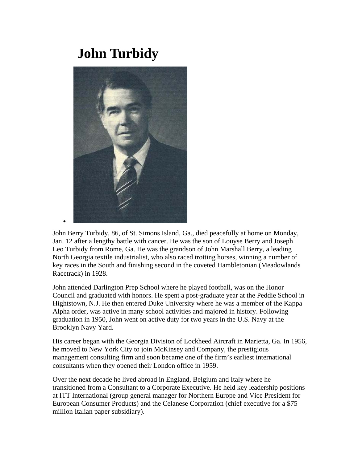## **John Turbidy**



•

John Berry Turbidy, 86, of St. Simons Island, Ga., died peacefully at home on Monday, Jan. 12 after a lengthy battle with cancer. He was the son of Louyse Berry and Joseph Leo Turbidy from Rome, Ga. He was the grandson of John Marshall Berry, a leading North Georgia textile industrialist, who also raced trotting horses, winning a number of key races in the South and finishing second in the coveted Hambletonian (Meadowlands Racetrack) in 1928.

John attended Darlington Prep School where he played football, was on the Honor Council and graduated with honors. He spent a post-graduate year at the Peddie School in Hightstown, N.J. He then entered Duke University where he was a member of the Kappa Alpha order, was active in many school activities and majored in history. Following graduation in 1950, John went on active duty for two years in the U.S. Navy at the Brooklyn Navy Yard.

His career began with the Georgia Division of Lockheed Aircraft in Marietta, Ga. In 1956, he moved to New York City to join McKinsey and Company, the prestigious management consulting firm and soon became one of the firm's earliest international consultants when they opened their London office in 1959.

Over the next decade he lived abroad in England, Belgium and Italy where he transitioned from a Consultant to a Corporate Executive. He held key leadership positions at ITT International (group general manager for Northern Europe and Vice President for European Consumer Products) and the Celanese Corporation (chief executive for a \$75 million Italian paper subsidiary).